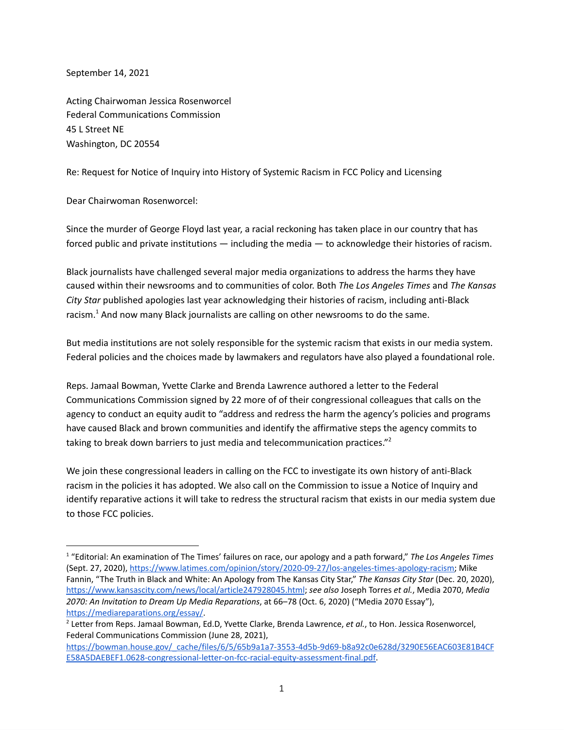September 14, 2021

Acting Chairwoman Jessica Rosenworcel Federal Communications Commission 45 L Street NE Washington, DC 20554

Re: Request for Notice of Inquiry into History of Systemic Racism in FCC Policy and Licensing

Dear Chairwoman Rosenworcel:

Since the murder of George Floyd last year, a racial reckoning has taken place in our country that has forced public and private institutions — including the media — to acknowledge their histories of racism.

Black journalists have challenged several major media organizations to address the harms they have caused within their newsrooms and to communities of color. Both *Th*e *Los Angeles Times* and *The Kansas City Star* published apologies last year acknowledging their histories of racism, including anti-Black racism. $^1$  And now many Black journalists are calling on other newsrooms to do the same.

But media institutions are not solely responsible for the systemic racism that exists in our media system. Federal policies and the choices made by lawmakers and regulators have also played a foundational role.

Reps. Jamaal Bowman, Yvette Clarke and Brenda Lawrence authored a letter to the Federal Communications Commission signed by 22 more of of their congressional colleagues that calls on the agency to conduct an equity audit to "address and redress the harm the agency's policies and programs have caused Black and brown communities and identify the affirmative steps the agency commits to taking to break down barriers to just media and telecommunication practices."<sup>2</sup>

We join these congressional leaders in calling on the FCC to investigate its own history of anti-Black racism in the policies it has adopted. We also call on the Commission to issue a Notice of Inquiry and identify reparative actions it will take to redress the structural racism that exists in our media system due to those FCC policies.

<sup>1</sup> "Editorial: An examination of The Times' failures on race, our apology and a path forward," *The Los Angeles Times* (Sept. 27, 2020), https://www.latimes.com/opinion/story/2020-09-27/los-angeles-times-apology-racism; Mike Fannin, "The Truth in Black and White: An Apology from The Kansas City Star," *The Kansas City Star* (Dec. 20, 2020), https://www.kansascity.com/news/local/article247928045.html; *see also* Joseph Torres *et al.*, Media 2070, *Media 2070: An Invitation to Dream Up Media Reparations*, at 66–78 (Oct. 6, 2020) ("Media 2070 Essay"), https://mediareparations.org/essay/.

<sup>2</sup> Letter from Reps. Jamaal Bowman, Ed.D, Yvette Clarke, Brenda Lawrence, *et al.*, to Hon. Jessica Rosenworcel, Federal Communications Commission (June 28, 2021),

https://bowman.house.gov/\_cache/files/6/5/65b9a1a7-3553-4d5b-9d69-b8a92c0e628d/3290E56EAC603E81B4CF E58A5DAEBEF1.0628-congressional-letter-on-fcc-racial-equity-assessment-final.pdf.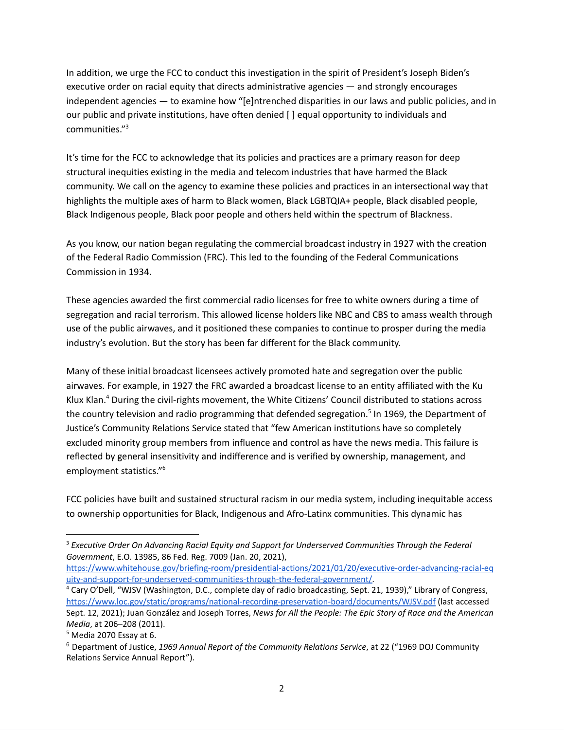In addition, we urge the FCC to conduct this investigation in the spirit of President's Joseph Biden's executive order on racial equity that directs administrative agencies — and strongly encourages independent agencies — to examine how "[e]ntrenched disparities in our laws and public policies, and in our public and private institutions, have often denied [ ] equal opportunity to individuals and communities."<sup>3</sup>

It's time for the FCC to acknowledge that its policies and practices are a primary reason for deep structural inequities existing in the media and telecom industries that have harmed the Black community. We call on the agency to examine these policies and practices in an intersectional way that highlights the multiple axes of harm to Black women, Black LGBTQIA+ people, Black disabled people, Black Indigenous people, Black poor people and others held within the spectrum of Blackness.

As you know, our nation began regulating the commercial broadcast industry in 1927 with the creation of the Federal Radio Commission (FRC). This led to the founding of the Federal Communications Commission in 1934.

These agencies awarded the first commercial radio licenses for free to white owners during a time of segregation and racial terrorism. This allowed license holders like NBC and CBS to amass wealth through use of the public airwaves, and it positioned these companies to continue to prosper during the media industry's evolution. But the story has been far different for the Black community.

Many of these initial broadcast licensees actively promoted hate and segregation over the public airwaves. For example, in 1927 the FRC awarded a broadcast license to an entity affiliated with the Ku Klux Klan. <sup>4</sup> During the civil-rights movement, the White Citizens' Council distributed to stations across the country television and radio programming that defended segregation. <sup>5</sup> In 1969, the Department of Justice's Community Relations Service stated that "few American institutions have so completely excluded minority group members from influence and control as have the news media. This failure is reflected by general insensitivity and indifference and is verified by ownership, management, and employment statistics."6

FCC policies have built and sustained structural racism in our media system, including inequitable access to ownership opportunities for Black, Indigenous and Afro-Latinx communities. This dynamic has

<sup>3</sup> *Executive Order On Advancing Racial Equity and Support for Underserved Communities Through the Federal Government*, E.O. 13985, 86 Fed. Reg. 7009 (Jan. 20, 2021),

https://www.whitehouse.gov/briefing-room/presidential-actions/2021/01/20/executive-order-advancing-racial-eq uity-and-support-for-underserved-communities-through-the-federal-government/.

<sup>4</sup> Cary O'Dell, "WJSV (Washington, D.C., complete day of radio broadcasting, Sept. 21, 1939)," Library of Congress, https://www.loc.gov/static/programs/national-recording-preservation-board/documents/WJSV.pdf (last accessed Sept. 12, 2021); Juan González and Joseph Torres, *News for All the People: The Epic Story of Race and the American Media*, at 206–208 (2011).

 $5$  Media 2070 Essay at 6.

<sup>6</sup> Department of Justice, *1969 Annual Report of the Community Relations Service*, at 22 ("1969 DOJ Community Relations Service Annual Report").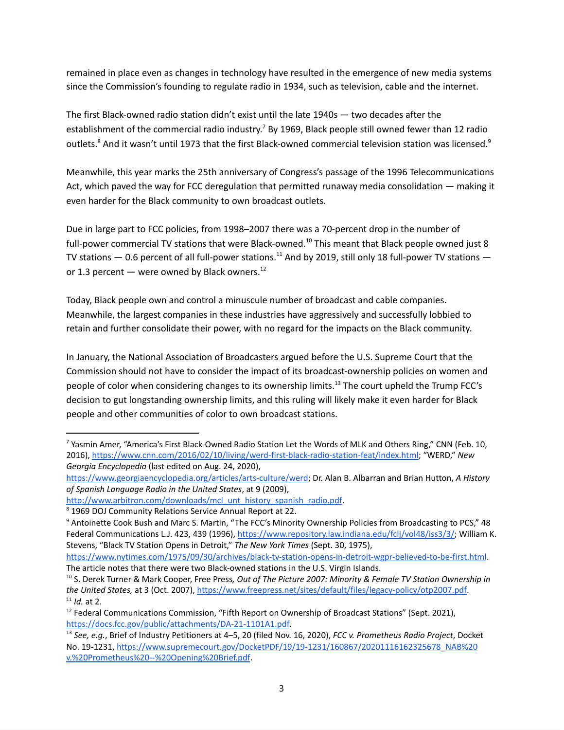remained in place even as changes in technology have resulted in the emergence of new media systems since the Commission's founding to regulate radio in 1934, such as television, cable and the internet.

The first Black-owned radio station didn't exist until the late 1940s — two decades after the establishment of the commercial radio industry.<sup>7</sup> By 1969, Black people still owned fewer than 12 radio outlets.<sup>8</sup> And it wasn't until 1973 that the first Black-owned commercial television station was licensed.<sup>9</sup>

Meanwhile, this year marks the 25th anniversary of Congress's passage of the 1996 Telecommunications Act, which paved the way for FCC deregulation that permitted runaway media consolidation — making it even harder for the Black community to own broadcast outlets.

Due in large part to FCC policies, from 1998–2007 there was a 70-percent drop in the number of full-power commercial TV stations that were Black-owned.<sup>10</sup> This meant that Black people owned just 8 TV stations  $-$  0.6 percent of all full-power stations.<sup>11</sup> And by 2019, still only 18 full-power TV stations  $$ or 1.3 percent — were owned by Black owners.<sup>12</sup>

Today, Black people own and control a minuscule number of broadcast and cable companies. Meanwhile, the largest companies in these industries have aggressively and successfully lobbied to retain and further consolidate their power, with no regard for the impacts on the Black community.

In January, the National Association of Broadcasters argued before the U.S. Supreme Court that the Commission should not have to consider the impact of its broadcast-ownership policies on women and people of color when considering changes to its ownership limits.<sup>13</sup> The court upheld the Trump FCC's decision to gut longstanding ownership limits, and this ruling will likely make it even harder for Black people and other communities of color to own broadcast stations.

<sup>7</sup> Yasmin Amer, "America's First Black-Owned Radio Station Let the Words of MLK and Others Ring," CNN (Feb. 10, 2016), https://www.cnn.com/2016/02/10/living/werd-first-black-radio-station-feat/index.html; "WERD," *New Georgia Encyclopedia* (last edited on Aug. 24, 2020),

https://www.georgiaencyclopedia.org/articles/arts-culture/werd; Dr. Alan B. Albarran and Brian Hutton, *A History of Spanish Language Radio in the United States*, at 9 (2009),

http://www.arbitron.com/downloads/mcl\_unt\_history\_spanish\_radio.pdf.

<sup>8</sup> 1969 DOJ Community Relations Service Annual Report at 22.

<sup>&</sup>lt;sup>9</sup> Antoinette Cook Bush and Marc S. Martin, "The FCC's Minority Ownership Policies from Broadcasting to PCS," 48 Federal Communications L.J. 423, 439 (1996), https://www.repository.law.indiana.edu/fclj/vol48/iss3/3/; William K. Stevens, "Black TV Station Opens in Detroit," *The New York Times* (Sept. 30, 1975),

https://www.nytimes.com/1975/09/30/archives/black-tv-station-opens-in-detroit-wgpr-believed-to-be-first.html. The article notes that there were two Black-owned stations in the U.S. Virgin Islands.

<sup>10</sup> S. Derek Turner & Mark Cooper, Free Press*, Out of The Picture 2007: Minority & Female TV Station Ownership in the United States,* at 3 (Oct. 2007), https://www.freepress.net/sites/default/files/legacy-policy/otp2007.pdf. <sup>11</sup> *Id.* at 2.

 $12$  Federal Communications Commission, "Fifth Report on Ownership of Broadcast Stations" (Sept. 2021), https://docs.fcc.gov/public/attachments/DA-21-1101A1.pdf.

<sup>13</sup> *See, e.g.*, Brief of Industry Petitioners at 4–5, 20 (filed Nov. 16, 2020), *FCC v. Prometheus Radio Project*, Docket No. 19-1231, https://www.supremecourt.gov/DocketPDF/19/19-1231/160867/20201116162325678\_NAB%20 v.%20Prometheus%20--%20Opening%20Brief.pdf.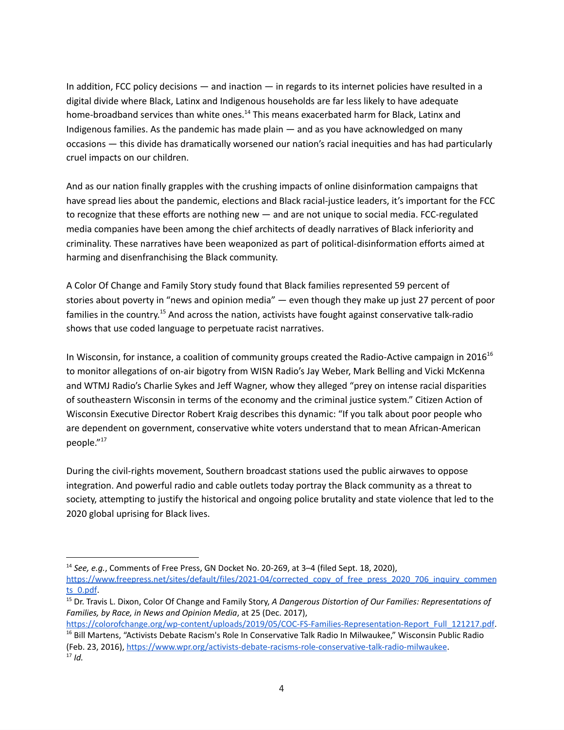In addition, FCC policy decisions — and inaction — in regards to its internet policies have resulted in a digital divide where Black, Latinx and Indigenous households are far less likely to have adequate home-broadband services than white ones.<sup>14</sup> This means exacerbated harm for Black, Latinx and Indigenous families. As the pandemic has made plain — and as you have acknowledged on many occasions — this divide has dramatically worsened our nation's racial inequities and has had particularly cruel impacts on our children.

And as our nation finally grapples with the crushing impacts of online disinformation campaigns that have spread lies about the pandemic, elections and Black racial-justice leaders, it's important for the FCC to recognize that these efforts are nothing new - and are not unique to social media. FCC-regulated media companies have been among the chief architects of deadly narratives of Black inferiority and criminality. These narratives have been weaponized as part of political-disinformation efforts aimed at harming and disenfranchising the Black community.

A Color Of Change and Family Story study found that Black families represented 59 percent of stories about poverty in "news and opinion media" — even though they make up just 27 percent of poor families in the country.<sup>15</sup> And across the nation, activists have fought against conservative talk-radio shows that use coded language to perpetuate racist narratives.

In Wisconsin, for instance, a coalition of community groups created the Radio-Active campaign in 2016<sup>16</sup> to monitor allegations of on-air bigotry from WISN Radio's Jay Weber, Mark Belling and Vicki McKenna and WTMJ Radio's Charlie Sykes and Jeff Wagner, whow they alleged "prey on intense racial disparities of southeastern Wisconsin in terms of the economy and the criminal justice system." Citizen Action of Wisconsin Executive Director Robert Kraig describes this dynamic: "If you talk about poor people who are dependent on government, conservative white voters understand that to mean African-American people."<sup>17</sup>

During the civil-rights movement, Southern broadcast stations used the public airwaves to oppose integration. And powerful radio and cable outlets today portray the Black community as a threat to society, attempting to justify the historical and ongoing police brutality and state violence that led to the 2020 global uprising for Black lives.

<sup>14</sup> *See, e.g.*, Comments of Free Press, GN Docket No. 20-269, at 3–4 (filed Sept. 18, 2020),

https://www.freepress.net/sites/default/files/2021-04/corrected\_copy\_of\_free\_press\_2020\_706\_inquiry\_commen ts\_0.pdf.

<sup>15</sup> Dr. Travis L. Dixon, Color Of Change and Family Story, *A Dangerous Distortion of Our Families: Representations of Families, by Race, in News and Opinion Media*, at 25 (Dec. 2017),

https://colorofchange.org/wp-content/uploads/2019/05/COC-FS-Families-Representation-Report\_Full\_121217.pdf. <sup>16</sup> Bill Martens, "Activists Debate Racism's Role In Conservative Talk Radio In Milwaukee," Wisconsin Public Radio (Feb. 23, 2016), https://www.wpr.org/activists-debate-racisms-role-conservative-talk-radio-milwaukee.  $17$  *Id.*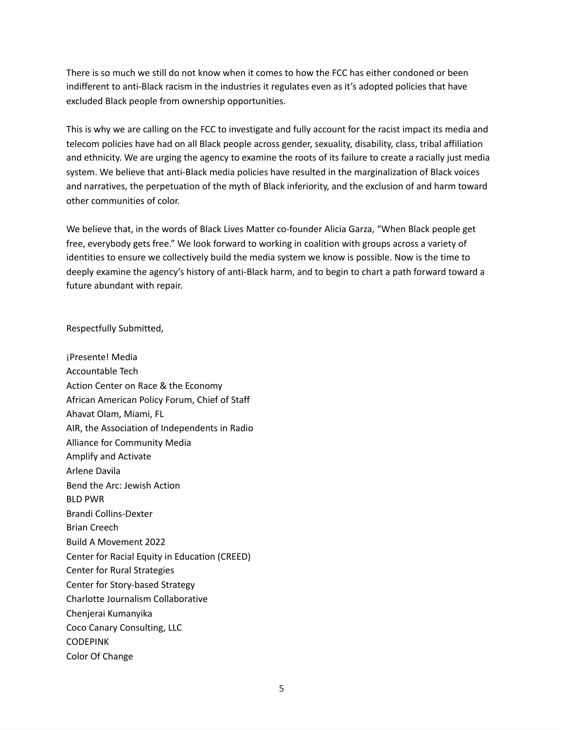There is so much we still do not know when it comes to how the FCC has either condoned or been indifferent to anti-Black racism in the industries it regulates even as it's adopted policies that have excluded Black people from ownership opportunities.

This is why we are calling on the FCC to investigate and fully account for the racist impact its media and telecom policies have had on all Black people across gender, sexuality, disability, class, tribal affiliation and ethnicity. We are urging the agency to examine the roots of its failure to create a racially just media system. We believe that anti-Black media policies have resulted in the marginalization of Black voices and narratives, the perpetuation of the myth of Black inferiority, and the exclusion of and harm toward other communities of color.

We believe that, in the words of Black Lives Matter co-founder Alicia Garza, "When Black people get free, everybody gets free." We look forward to working in coalition with groups across a variety of identities to ensure we collectively build the media system we know is possible. Now is the time to deeply examine the agency's history of anti-Black harm, and to begin to chart a path forward toward a future abundant with repair.

Respectfully Submitted,

¡Presente! Media Accountable Tech Action Center on Race & the Economy African American Policy Forum, Chief of Staff Ahavat Olam, Miami, FL AIR, the Association of Independents in Radio Alliance for Community Media Amplify and Activate Arlene Davila Bend the Arc: Jewish Action BLD PWR Brandi Collins-Dexter Brian Creech Build A Movement 2022 Center for Racial Equity in Education (CREED) Center for Rural Strategies Center for Story-based Strategy Charlotte Journalism Collaborative Chenjerai Kumanyika Coco Canary Consulting, LLC CODEPINK Color Of Change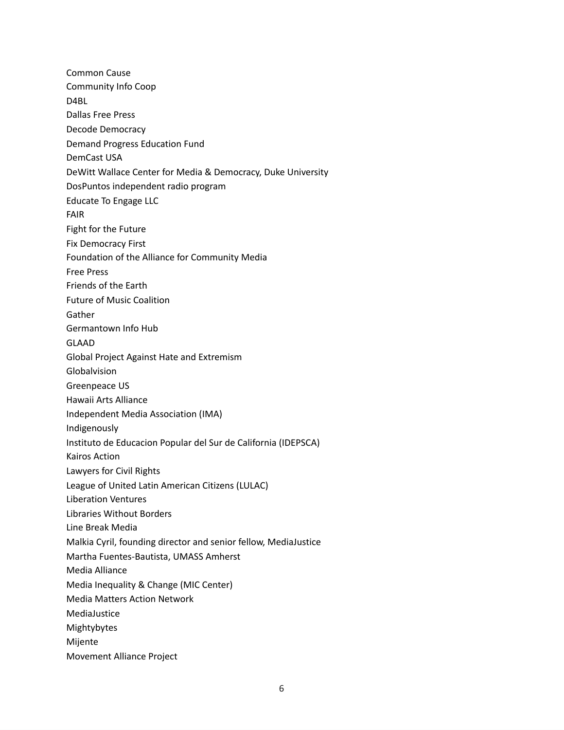Common Cause Community Info Coop D4BL Dallas Free Press Decode Democracy Demand Progress Education Fund DemCast USA DeWitt Wallace Center for Media & Democracy, Duke University DosPuntos independent radio program Educate To Engage LLC FAIR Fight for the Future Fix Democracy First Foundation of the Alliance for Community Media Free Press Friends of the Earth Future of Music Coalition Gather Germantown Info Hub GLAAD Global Project Against Hate and Extremism Globalvision Greenpeace US Hawaii Arts Alliance Independent Media Association (IMA) Indigenously Instituto de Educacion Popular del Sur de California (IDEPSCA) Kairos Action Lawyers for Civil Rights League of United Latin American Citizens (LULAC) Liberation Ventures Libraries Without Borders Line Break Media Malkia Cyril, founding director and senior fellow, MediaJustice Martha Fuentes-Bautista, UMASS Amherst Media Alliance Media Inequality & Change (MIC Center) Media Matters Action Network MediaJustice Mightybytes Mijente Movement Alliance Project